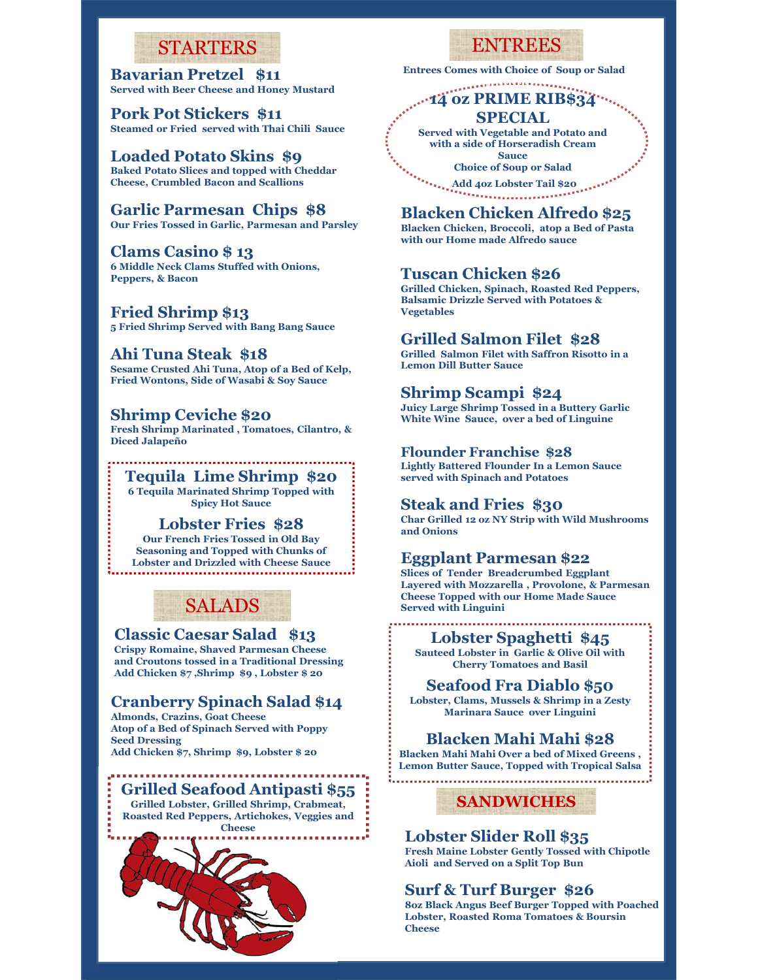## STARTERS

Bavarian Pretzel \$11 Served with Beer Cheese and Honey Mustard

Pork Pot Stickers \$11 Steamed or Fried served with Thai Chili Sauce

## Loaded Potato Skins \$9

Baked Potato Slices and topped with Cheddar Cheese, Crumbled Bacon and Scallions

Garlic Parmesan Chips \$8 Our Fries Tossed in Garlic, Parmesan and Parsley

Clams Casino \$ 13

6 Middle Neck Clams Stuffed with Onions, Peppers, & Bacon

Fried Shrimp \$13 5 Fried Shrimp Served with Bang Bang Sauce

Ahi Tuna Steak \$18 Sesame Crusted Ahi Tuna, Atop of a Bed of Kelp, Fried Wontons, Side of Wasabi & Soy Sauce

## Shrimp Ceviche \$20

Fresh Shrimp Marinated , Tomatoes, Cilantro, & Diced Jalapeño

Tequila Lime Shrimp \$20 6 Tequila Marinated Shrimp Topped with

Lobster Fries \$28 Our French Fries Tossed in Old Bay Seasoning and Topped with Chunks of Lobster and Drizzled with Cheese Sauce



#### Classic Caesar Salad \$13

Crispy Romaine, Shaved Parmesan Cheese and Croutons tossed in a Traditional Dressing Add Chicken \$7 ,Shrimp \$9 , Lobster \$ 20

## Cranberry Spinach Salad \$14

Almonds, Crazins, Goat Cheese Atop of a Bed of Spinach Served with Poppy<br>Seed Dressing **Blacken Mahi Mahi \$28** Seed Dressing

Grilled Seafood Antipasti \$55 Grilled Lobster, Grilled Shrimp, Crabmeat, Roasted Red Peppers, Artichokes, Veggies and



## ENTREES

Entrees Comes with Choice of Soup or Salad &

#### ... 14 oz PRIME RIB\$34 ... SPECIAL Vegetable of The Day

Served with Vegetable and Potato and with a side of Horseradish Cream Sauce

Choice of Soup or Salad

Add 4oz Lobster Tail \$20 

## Blacken Chicken Alfredo \$25

Blacken Chicken, Broccoli, atop a Bed of Pasta with our Home made Alfredo sauce

## Tuscan Chicken \$26

Grilled Chicken, Spinach, Roasted Red Peppers, Balsamic Drizzle Served with Potatoes & Vegetables

## Grilled Salmon Filet \$28

Grilled Salmon Filet with Saffron Risotto in a Lemon Dill Butter Sauce

## Shrimp Scampi \$24

Juicy Large Shrimp Tossed in a Buttery Garlic White Wine Sauce, over a bed of Linguine

#### Flounder Franchise \$28

Lightly Battered Flounder In a Lemon Sauce served with Spinach and Potatoes

## Spicy Hot Sauce Steak and Fries \$30

Char Grilled 12 oz NY Strip with Wild Mushrooms and Onions

### Eggplant Parmesan \$22

Slices of Tender Breadcrumbed Eggplant Layered with Mozzarella , Provolone, & Parmesan Cheese Topped with our Home Made Sauce Served with Linguini e Wine Sauce, over a bed of Linguine<br>
ander Franchise \$28<br>
by Battered Flounder In a Lemon Sauce<br>
d with Spinach and Potatocs<br> **ak and Fries \$30**<br>
Grilled 12 oz NY Strip with Wild Mushrooms<br>
bnions<br>
so f Tender Breadcrunnb

## Lobster Spaghetti \$45

Sauteed Lobster in Garlic & Olive Oil with Cherry Tomatoes and Basil

Seafood Fra Diablo \$50 Lobster, Clams, Mussels & Shrimp in a Zesty Marinara Sauce over Linguini

Add Chicken \$7, Shrimp \$9, Lobster \$ 20 Blacken Mahi Mahi Over a bed of Mixed Greens , Lemon Butter Sauce, Topped with Tropical Salsa

SANDWICHES

## Lobster Slider Roll \$35

Fresh Maine Lobster Gently Tossed with Chipotle Aioli and Served on a Split Top Bun

## Surf & Turf Burger \$26

8oz Black Angus Beef Burger Topped with Poached Lobster, Roasted Roma Tomatoes & Boursin **Cheese**